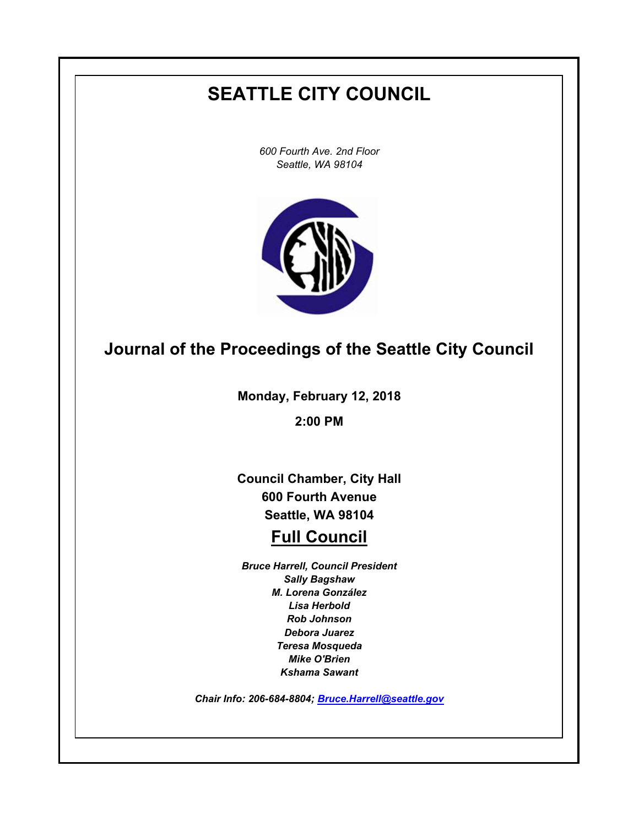# **SEATTLE CITY COUNCIL**

*600 Fourth Ave. 2nd Floor Seattle, WA 98104*



# **Journal of the Proceedings of the Seattle City Council**

**Monday, February 12, 2018**

**2:00 PM**

**Council Chamber, City Hall 600 Fourth Avenue Seattle, WA 98104**

# **Full Council**

*Bruce Harrell, Council President Sally Bagshaw M. Lorena González Lisa Herbold Rob Johnson Debora Juarez Teresa Mosqueda Mike O'Brien Kshama Sawant*

*Chair Info: 206-684-8804; [Bruce.Harrell@seattle.gov](mailto:Bruce.Harrell@seattle.gov)*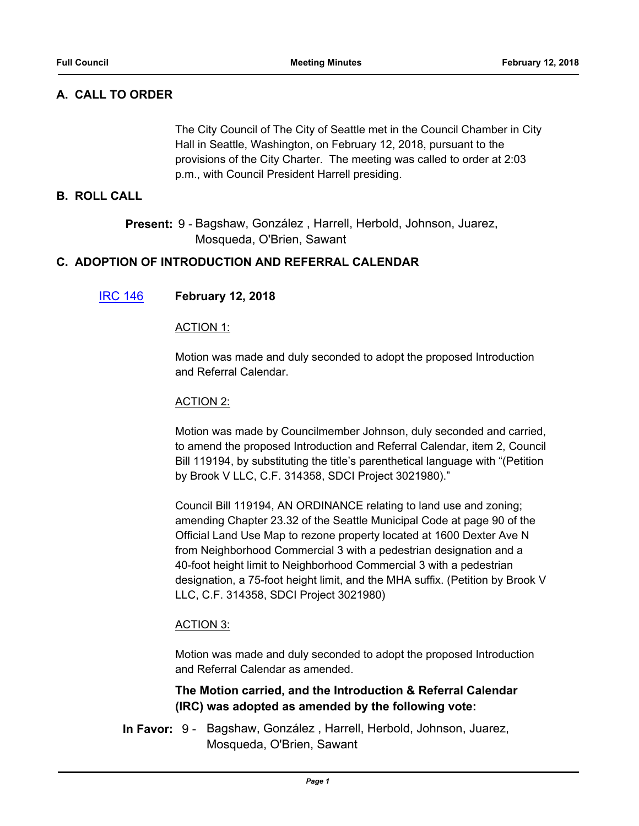# **A. CALL TO ORDER**

The City Council of The City of Seattle met in the Council Chamber in City Hall in Seattle, Washington, on February 12, 2018, pursuant to the provisions of the City Charter. The meeting was called to order at 2:03 p.m., with Council President Harrell presiding.

## **B. ROLL CALL**

Present: 9 - Bagshaw, González, Harrell, Herbold, Johnson, Juarez, Mosqueda, O'Brien, Sawant

## **C. ADOPTION OF INTRODUCTION AND REFERRAL CALENDAR**

## [IRC 146](http://seattle.legistar.com/gateway.aspx?m=l&id=/matter.aspx?key=6796) **February 12, 2018**

#### ACTION 1:

Motion was made and duly seconded to adopt the proposed Introduction and Referral Calendar.

#### ACTION 2:

Motion was made by Councilmember Johnson, duly seconded and carried, to amend the proposed Introduction and Referral Calendar, item 2, Council Bill 119194, by substituting the title's parenthetical language with "(Petition by Brook V LLC, C.F. 314358, SDCI Project 3021980)."

Council Bill 119194, AN ORDINANCE relating to land use and zoning; amending Chapter 23.32 of the Seattle Municipal Code at page 90 of the Official Land Use Map to rezone property located at 1600 Dexter Ave N from Neighborhood Commercial 3 with a pedestrian designation and a 40-foot height limit to Neighborhood Commercial 3 with a pedestrian designation, a 75-foot height limit, and the MHA suffix. (Petition by Brook V LLC, C.F. 314358, SDCI Project 3021980)

## ACTION 3:

Motion was made and duly seconded to adopt the proposed Introduction and Referral Calendar as amended.

## **The Motion carried, and the Introduction & Referral Calendar (IRC) was adopted as amended by the following vote:**

In Favor: 9 - Bagshaw, González, Harrell, Herbold, Johnson, Juarez, Mosqueda, O'Brien, Sawant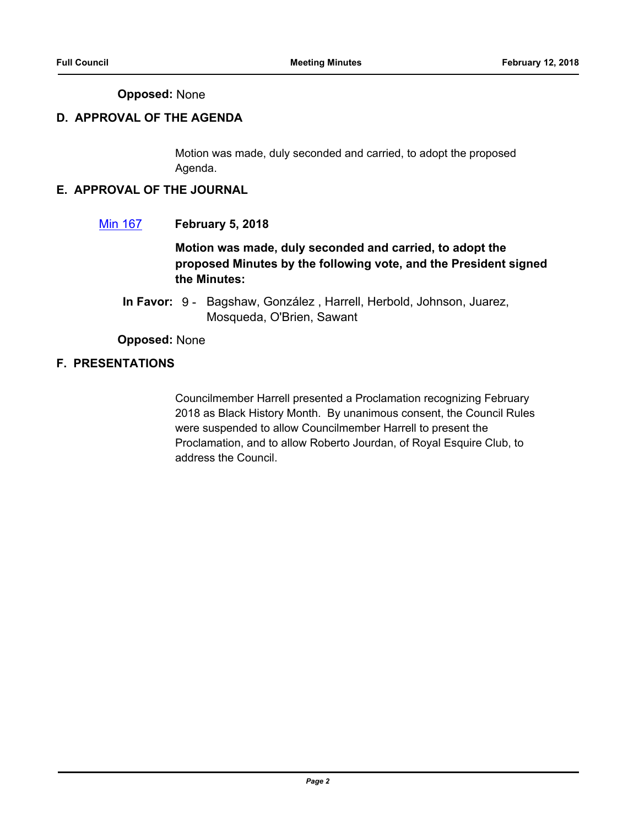## **Opposed:** None

# **D. APPROVAL OF THE AGENDA**

Motion was made, duly seconded and carried, to adopt the proposed Agenda.

## **E. APPROVAL OF THE JOURNAL**

[Min 167](http://seattle.legistar.com/gateway.aspx?m=l&id=/matter.aspx?key=6797) **February 5, 2018**

**Motion was made, duly seconded and carried, to adopt the proposed Minutes by the following vote, and the President signed the Minutes:**

In Favor: 9 - Bagshaw, González, Harrell, Herbold, Johnson, Juarez, Mosqueda, O'Brien, Sawant

**Opposed:** None

# **F. PRESENTATIONS**

Councilmember Harrell presented a Proclamation recognizing February 2018 as Black History Month. By unanimous consent, the Council Rules were suspended to allow Councilmember Harrell to present the Proclamation, and to allow Roberto Jourdan, of Royal Esquire Club, to address the Council.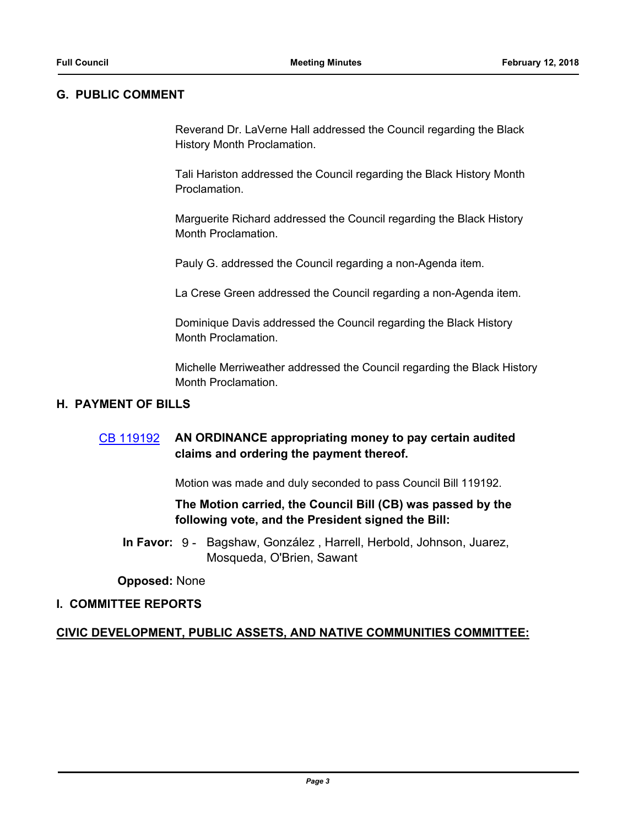#### **G. PUBLIC COMMENT**

Reverand Dr. LaVerne Hall addressed the Council regarding the Black History Month Proclamation.

Tali Hariston addressed the Council regarding the Black History Month Proclamation.

Marguerite Richard addressed the Council regarding the Black History Month Proclamation.

Pauly G. addressed the Council regarding a non-Agenda item.

La Crese Green addressed the Council regarding a non-Agenda item.

Dominique Davis addressed the Council regarding the Black History Month Proclamation.

Michelle Merriweather addressed the Council regarding the Black History Month Proclamation.

## **H. PAYMENT OF BILLS**

# [CB 119192](http://seattle.legistar.com/gateway.aspx?m=l&id=/matter.aspx?key=6771) **AN ORDINANCE appropriating money to pay certain audited claims and ordering the payment thereof.**

Motion was made and duly seconded to pass Council Bill 119192.

## **The Motion carried, the Council Bill (CB) was passed by the following vote, and the President signed the Bill:**

In Favor: 9 - Bagshaw, González, Harrell, Herbold, Johnson, Juarez, Mosqueda, O'Brien, Sawant

#### **Opposed:** None

#### **I. COMMITTEE REPORTS**

## **CIVIC DEVELOPMENT, PUBLIC ASSETS, AND NATIVE COMMUNITIES COMMITTEE:**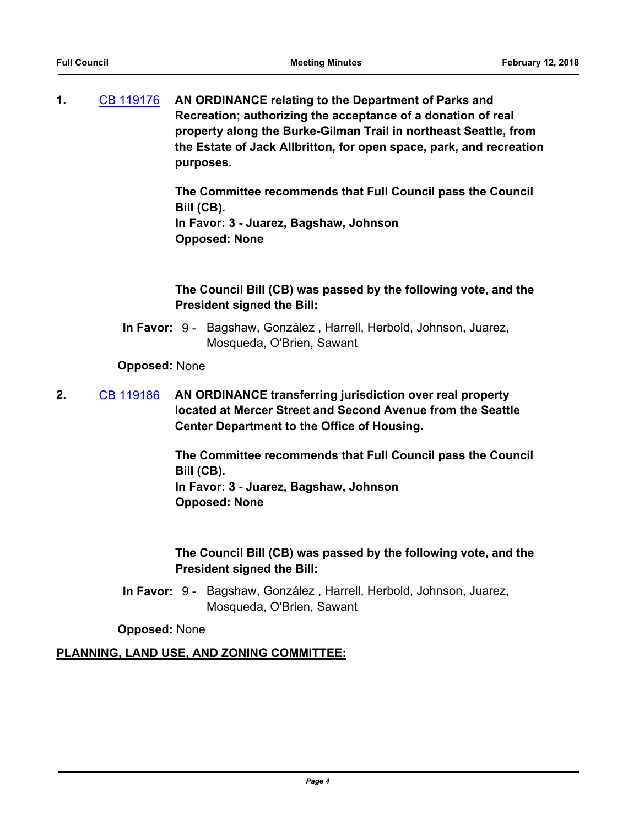**1.** [CB 119176](http://seattle.legistar.com/gateway.aspx?m=l&id=/matter.aspx?key=6553) **AN ORDINANCE relating to the Department of Parks and Recreation; authorizing the acceptance of a donation of real property along the Burke-Gilman Trail in northeast Seattle, from the Estate of Jack Allbritton, for open space, park, and recreation purposes.**

> **The Committee recommends that Full Council pass the Council Bill (CB).**

**In Favor: 3 - Juarez, Bagshaw, Johnson Opposed: None**

# **The Council Bill (CB) was passed by the following vote, and the President signed the Bill:**

In Favor: 9 - Bagshaw, González, Harrell, Herbold, Johnson, Juarez, Mosqueda, O'Brien, Sawant

## **Opposed:** None

**2.** [CB 119186](http://seattle.legistar.com/gateway.aspx?m=l&id=/matter.aspx?key=6718) **AN ORDINANCE transferring jurisdiction over real property located at Mercer Street and Second Avenue from the Seattle Center Department to the Office of Housing.**

> **The Committee recommends that Full Council pass the Council Bill (CB). In Favor: 3 - Juarez, Bagshaw, Johnson Opposed: None**

# **The Council Bill (CB) was passed by the following vote, and the President signed the Bill:**

In Favor: 9 - Bagshaw, González, Harrell, Herbold, Johnson, Juarez, Mosqueda, O'Brien, Sawant

## **Opposed:** None

# **PLANNING, LAND USE, AND ZONING COMMITTEE:**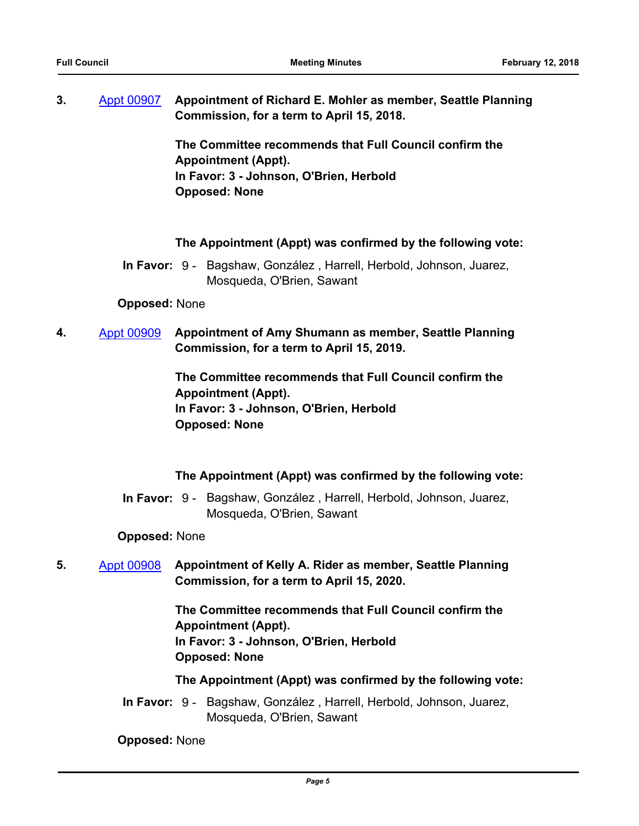**3.** [Appt 00907](http://seattle.legistar.com/gateway.aspx?m=l&id=/matter.aspx?key=6749) **Appointment of Richard E. Mohler as member, Seattle Planning Commission, for a term to April 15, 2018.**

> **The Committee recommends that Full Council confirm the Appointment (Appt). In Favor: 3 - Johnson, O'Brien, Herbold Opposed: None**

#### **The Appointment (Appt) was confirmed by the following vote:**

In Favor: 9 - Bagshaw, González, Harrell, Herbold, Johnson, Juarez, Mosqueda, O'Brien, Sawant

#### **Opposed:** None

**4.** [Appt 00909](http://seattle.legistar.com/gateway.aspx?m=l&id=/matter.aspx?key=6751) **Appointment of Amy Shumann as member, Seattle Planning Commission, for a term to April 15, 2019.**

> **The Committee recommends that Full Council confirm the Appointment (Appt). In Favor: 3 - Johnson, O'Brien, Herbold Opposed: None**

#### **The Appointment (Appt) was confirmed by the following vote:**

In Favor: 9 - Bagshaw, González, Harrell, Herbold, Johnson, Juarez, Mosqueda, O'Brien, Sawant

#### **Opposed:** None

**5.** [Appt 00908](http://seattle.legistar.com/gateway.aspx?m=l&id=/matter.aspx?key=6750) **Appointment of Kelly A. Rider as member, Seattle Planning Commission, for a term to April 15, 2020.**

> **The Committee recommends that Full Council confirm the Appointment (Appt). In Favor: 3 - Johnson, O'Brien, Herbold Opposed: None**

**The Appointment (Appt) was confirmed by the following vote:**

In Favor: 9 - Bagshaw, González, Harrell, Herbold, Johnson, Juarez, Mosqueda, O'Brien, Sawant

**Opposed:** None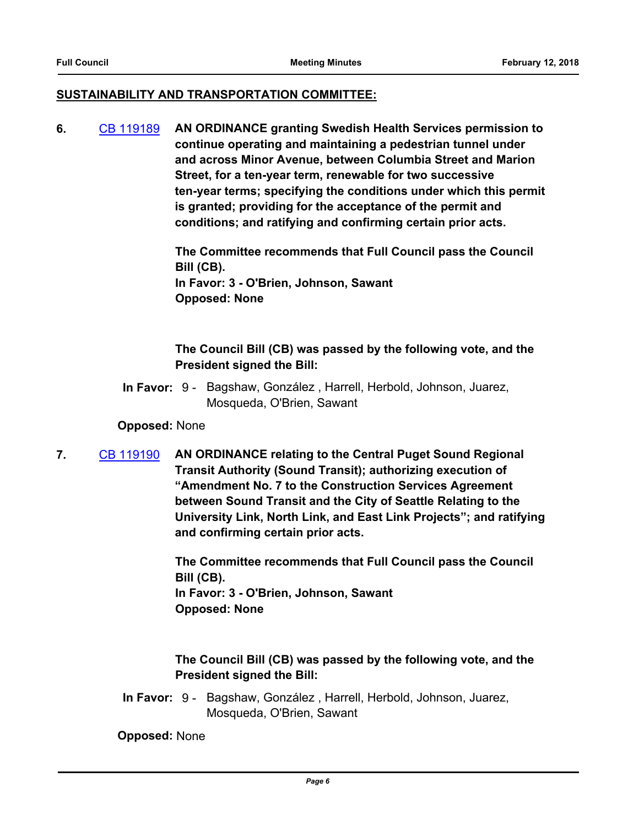#### **SUSTAINABILITY AND TRANSPORTATION COMMITTEE:**

**6.** [CB 119189](http://seattle.legistar.com/gateway.aspx?m=l&id=/matter.aspx?key=6675) **AN ORDINANCE granting Swedish Health Services permission to continue operating and maintaining a pedestrian tunnel under and across Minor Avenue, between Columbia Street and Marion Street, for a ten-year term, renewable for two successive ten-year terms; specifying the conditions under which this permit is granted; providing for the acceptance of the permit and conditions; and ratifying and confirming certain prior acts.**

> **The Committee recommends that Full Council pass the Council Bill (CB). In Favor: 3 - O'Brien, Johnson, Sawant Opposed: None**

## **The Council Bill (CB) was passed by the following vote, and the President signed the Bill:**

In Favor: 9 - Bagshaw, González, Harrell, Herbold, Johnson, Juarez, Mosqueda, O'Brien, Sawant

## **Opposed:** None

**7.** [CB 119190](http://seattle.legistar.com/gateway.aspx?m=l&id=/matter.aspx?key=6727) **AN ORDINANCE relating to the Central Puget Sound Regional Transit Authority (Sound Transit); authorizing execution of "Amendment No. 7 to the Construction Services Agreement between Sound Transit and the City of Seattle Relating to the University Link, North Link, and East Link Projects"; and ratifying and confirming certain prior acts.**

> **The Committee recommends that Full Council pass the Council Bill (CB). In Favor: 3 - O'Brien, Johnson, Sawant Opposed: None**

# **The Council Bill (CB) was passed by the following vote, and the President signed the Bill:**

In Favor: 9 - Bagshaw, González, Harrell, Herbold, Johnson, Juarez, Mosqueda, O'Brien, Sawant

**Opposed:** None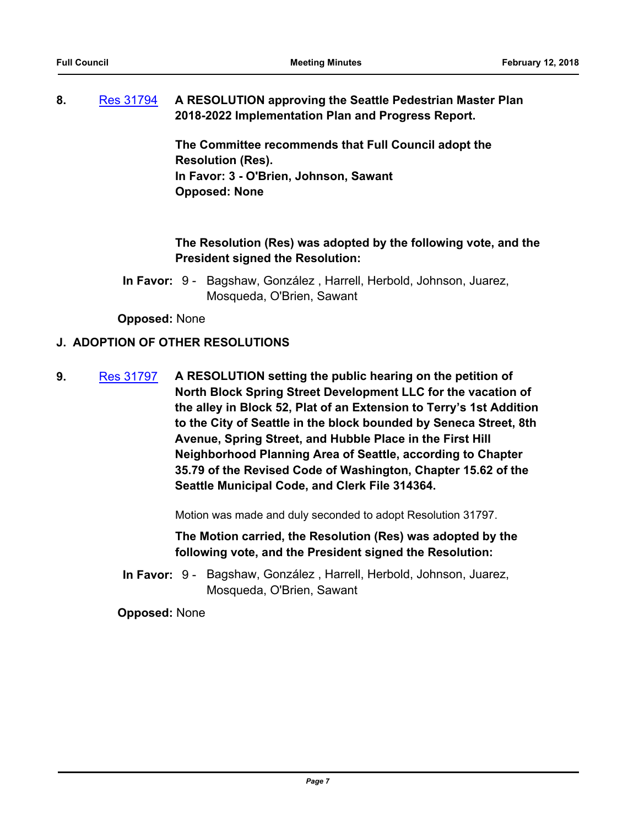## **8.** [Res 31794](http://seattle.legistar.com/gateway.aspx?m=l&id=/matter.aspx?key=6748) **A RESOLUTION approving the Seattle Pedestrian Master Plan 2018-2022 Implementation Plan and Progress Report.**

**The Committee recommends that Full Council adopt the Resolution (Res). In Favor: 3 - O'Brien, Johnson, Sawant Opposed: None**

# **The Resolution (Res) was adopted by the following vote, and the President signed the Resolution:**

In Favor: 9 - Bagshaw, González, Harrell, Herbold, Johnson, Juarez, Mosqueda, O'Brien, Sawant

**Opposed:** None

## **J. ADOPTION OF OTHER RESOLUTIONS**

**9.** [Res 31797](http://seattle.legistar.com/gateway.aspx?m=l&id=/matter.aspx?key=6764) **A RESOLUTION setting the public hearing on the petition of North Block Spring Street Development LLC for the vacation of the alley in Block 52, Plat of an Extension to Terry's 1st Addition to the City of Seattle in the block bounded by Seneca Street, 8th Avenue, Spring Street, and Hubble Place in the First Hill Neighborhood Planning Area of Seattle, according to Chapter 35.79 of the Revised Code of Washington, Chapter 15.62 of the Seattle Municipal Code, and Clerk File 314364.**

Motion was made and duly seconded to adopt Resolution 31797.

**The Motion carried, the Resolution (Res) was adopted by the following vote, and the President signed the Resolution:**

In Favor: 9 - Bagshaw, González, Harrell, Herbold, Johnson, Juarez, Mosqueda, O'Brien, Sawant

**Opposed:** None